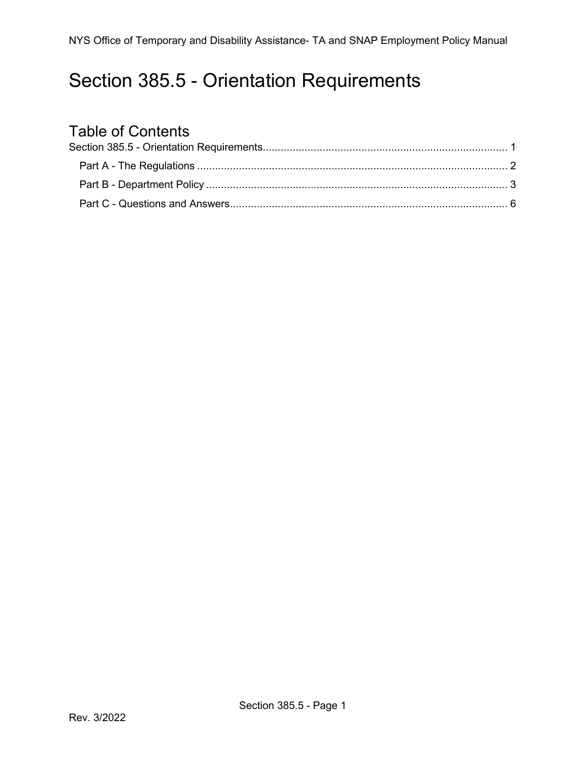## <span id="page-0-0"></span>Section 385.5 - Orientation Requirements

# Table of Contents<br>Section 385.5 - Orientation

<span id="page-0-1"></span>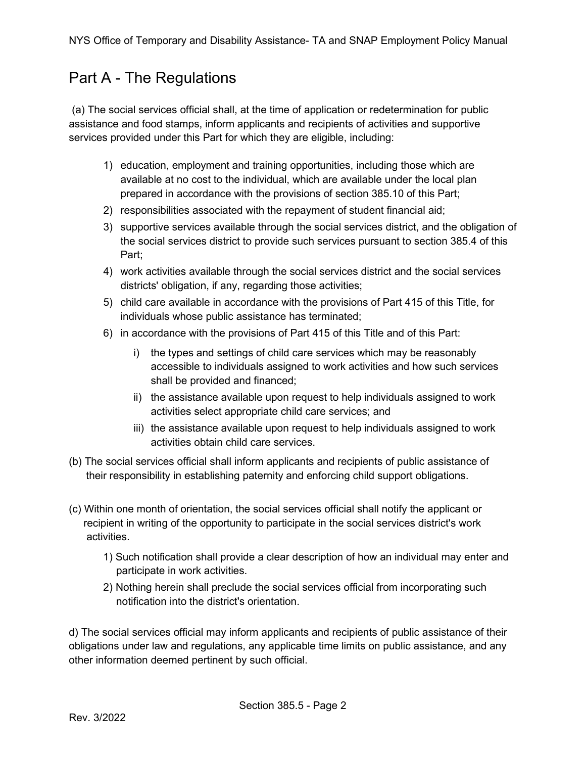#### Part A - The Regulations

(a) The social services official shall, at the time of application or redetermination for public assistance and food stamps, inform applicants and recipients of activities and supportive services provided under this Part for which they are eligible, including:

- 1) education, employment and training opportunities, including those which are available at no cost to the individual, which are available under the local plan prepared in accordance with the provisions of section 385.10 of this Part;
- 2) responsibilities associated with the repayment of student financial aid;
- 3) supportive services available through the social services district, and the obligation of the social services district to provide such services pursuant to section 385.4 of this Part;
- 4) work activities available through the social services district and the social services districts' obligation, if any, regarding those activities;
- 5) child care available in accordance with the provisions of Part 415 of this Title, for individuals whose public assistance has terminated;
- 6) in accordance with the provisions of Part 415 of this Title and of this Part:
	- i) the types and settings of child care services which may be reasonably accessible to individuals assigned to work activities and how such services shall be provided and financed;
	- ii) the assistance available upon request to help individuals assigned to work activities select appropriate child care services; and
	- iii) the assistance available upon request to help individuals assigned to work activities obtain child care services.
- (b) The social services official shall inform applicants and recipients of public assistance of their responsibility in establishing paternity and enforcing child support obligations.
- (c) Within one month of orientation, the social services official shall notify the applicant or recipient in writing of the opportunity to participate in the social services district's work activities.
	- 1) Such notification shall provide a clear description of how an individual may enter and participate in work activities.
	- 2) Nothing herein shall preclude the social services official from incorporating such notification into the district's orientation.

d) The social services official may inform applicants and recipients of public assistance of their obligations under law and regulations, any applicable time limits on public assistance, and any other information deemed pertinent by such official.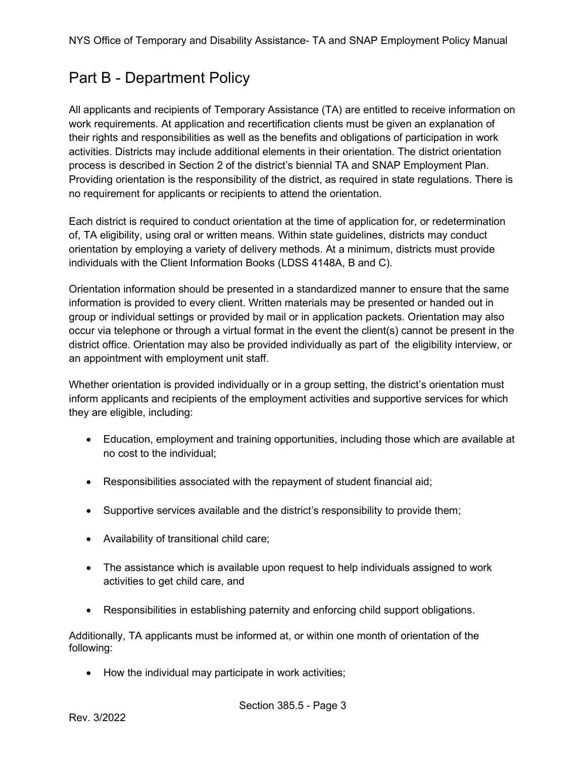#### <span id="page-2-0"></span>Part B - Department Policy

All applicants and recipients of Temporary Assistance (TA) are entitled to receive information on work requirements. At application and recertification clients must be given an explanation of their rights and responsibilities as well as the benefits and obligations of participation in work activities. Districts may include additional elements in their orientation. The district orientation process is described in Section 2 of the district's biennial TA and SNAP Employment Plan. Providing orientation is the responsibility of the district, as required in state regulations. There is no requirement for applicants or recipients to attend the orientation.

Each district is required to conduct orientation at the time of application for, or redetermination of, TA eligibility, using oral or written means. Within state guidelines, districts may conduct orientation by employing a variety of delivery methods. At a minimum, districts must provide individuals with the Client Information Books (LDSS 4148A, B and C).

Orientation information should be presented in a standardized manner to ensure that the same information is provided to every client. Written materials may be presented or handed out in group or individual settings or provided by mail or in application packets. Orientation may also occur via telephone or through a virtual format in the event the client(s) cannot be present in the district office. Orientation may also be provided individually as part of the eligibility interview, or an appointment with employment unit staff.

Whether orientation is provided individually or in a group setting, the district's orientation must inform applicants and recipients of the employment activities and supportive services for which they are eligible, including:

- Education, employment and training opportunities, including those which are available at no cost to the individual;
- Responsibilities associated with the repayment of student financial aid;
- Supportive services available and the district's responsibility to provide them;
- Availability of transitional child care;
- The assistance which is available upon request to help individuals assigned to work activities to get child care, and
- Responsibilities in establishing paternity and enforcing child support obligations.

Additionally, TA applicants must be informed at, or within one month of orientation of the following:

• How the individual may participate in work activities;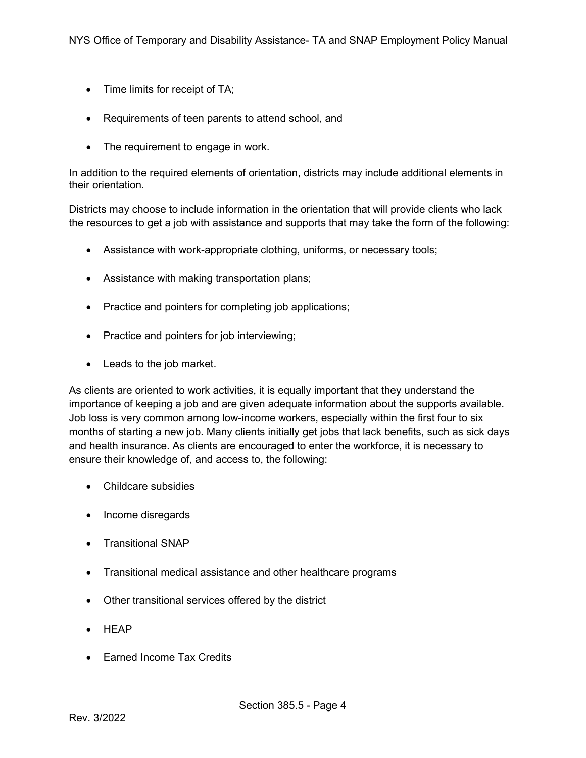- Time limits for receipt of TA;
- Requirements of teen parents to attend school, and
- The requirement to engage in work.

In addition to the required elements of orientation, districts may include additional elements in their orientation.

Districts may choose to include information in the orientation that will provide clients who lack the resources to get a job with assistance and supports that may take the form of the following:

- Assistance with work-appropriate clothing, uniforms, or necessary tools;
- Assistance with making transportation plans;
- Practice and pointers for completing job applications;
- Practice and pointers for job interviewing;
- Leads to the job market.

As clients are oriented to work activities, it is equally important that they understand the importance of keeping a job and are given adequate information about the supports available. Job loss is very common among low-income workers, especially within the first four to six months of starting a new job. Many clients initially get jobs that lack benefits, such as sick days and health insurance. As clients are encouraged to enter the workforce, it is necessary to ensure their knowledge of, and access to, the following:

- Childcare subsidies
- Income disregards
- Transitional SNAP
- Transitional medical assistance and other healthcare programs
- Other transitional services offered by the district
- HEAP
- Earned Income Tax Credits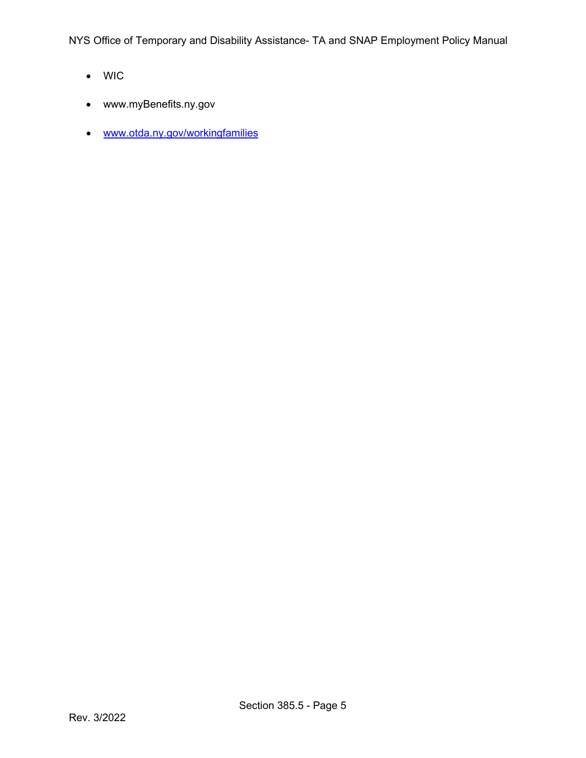NYS Office of Temporary and Disability Assistance- TA and SNAP Employment Policy Manual

- WIC
- www.myBenefits.ny.gov
- [www.otda.ny.gov/workingfamilies](http://www.otda.ny.gov/workingfamilies)